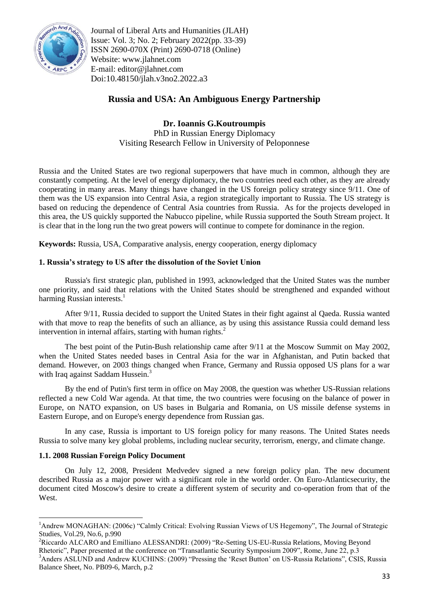

Journal of Liberal Arts and Humanities (JLAH) Issue: Vol. 3; No. 2; February 2022(pp. 33-39) ISSN 2690-070X (Print) 2690-0718 (Online) Website: www.jlahnet.com E-mail: editor@jlahnet.com Doi:10.48150/jlah.v3no2.2022.a3

# **Russia and USA: An Ambiguous Energy Partnership**

**Dr. Ioannis G.Koutroumpis** PhD in Russian Energy Diplomacy Visiting Research Fellow in University of Peloponnese

Russia and the United States are two regional superpowers that have much in common, although they are constantly competing. At the level of energy diplomacy, the two countries need each other, as they are already cooperating in many areas. Many things have changed in the US foreign policy strategy since 9/11. One of them was the US expansion into Central Asia, a region strategically important to Russia. The US strategy is based on reducing the dependence of Central Asia countries from Russia. As for the projects developed in this area, the US quickly supported the Nabucco pipeline, while Russia supported the South Stream project. It is clear that in the long run the two great powers will continue to compete for dominance in the region.

**Keywords:** Russia, USA, Comparative analysis, energy cooperation, energy diplomacy

## **1. Russia's strategy to US after the dissolution of the Soviet Union**

Russia's first strategic plan, published in 1993, acknowledged that the United States was the number one priority, and said that relations with the United States should be strengthened and expanded without harming Russian interests.<sup>1</sup>

After 9/11, Russia decided to support the United States in their fight against al Qaeda. Russia wanted with that move to reap the benefits of such an alliance, as by using this assistance Russia could demand less intervention in internal affairs, starting with human rights.<sup>2</sup>

The best point of the Putin-Bush relationship came after 9/11 at the Moscow Summit on May 2002, when the United States needed bases in Central Asia for the war in Afghanistan, and Putin backed that demand. However, on 2003 things changed when France, Germany and Russia opposed US plans for a war with Iraq against Saddam Hussein.<sup>3</sup>

By the end of Putin's first term in office on May 2008, the question was whether US-Russian relations reflected a new Cold War agenda. At that time, the two countries were focusing on the balance of power in Europe, on NATO expansion, on US bases in Bulgaria and Romania, on US missile defense systems in Eastern Europe, and on Europe's energy dependence from Russian gas.

In any case, Russia is important to US foreign policy for many reasons. The United States needs Russia to solve many key global problems, including nuclear security, terrorism, energy, and climate change.

## **1.1. 2008 Russian Foreign Policy Document**

 $\overline{a}$ 

On July 12, 2008, President Medvedev signed a new foreign policy plan. The new document described Russia as a major power with a significant role in the world order. On Euro-Atlanticsecurity, the document cited Moscow's desire to create a different system of security and co-operation from that of the West.

<sup>&</sup>lt;sup>1</sup>Andrew MONAGHAN: (2006c) "Calmly Critical: Evolving Russian Views of US Hegemony", The Journal of Strategic Studies, Vol.29, No.6, p.990

<sup>&</sup>lt;sup>2</sup>Riccardo ALCARO and Emilliano ALESSANDRI: (2009) "Re-Setting US-EU-Russia Relations, Moving Beyond Rhetoric", Paper presented at the conference on "Transatlantic Security Symposium 2009", Rome, June 22, p.3 <sup>3</sup>Anders ASLUND and Andrew KUCHINS: (2009) "Pressing the 'Reset Button' on US-Russia Relations", CSIS, Russia Balance Sheet, No. PB09-6, March, p.2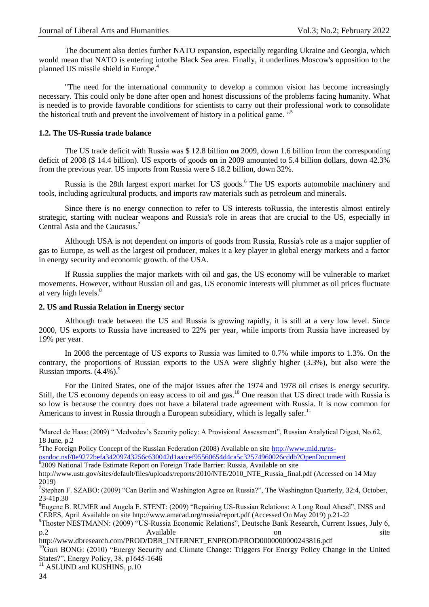The document also denies further NATO expansion, especially regarding Ukraine and Georgia, which would mean that NATO is entering intothe Black Sea area. Finally, it underlines Moscow's opposition to the planned US missile shield in Europe.<sup>4</sup>

"The need for the international community to develop a common vision has become increasingly necessary. This could only be done after open and honest discussions of the problems facing humanity. What is needed is to provide favorable conditions for scientists to carry out their professional work to consolidate the historical truth and prevent the involvement of history in a political game.  $45$ 

### **1.2. The US-Russia trade balance**

The US trade deficit with Russia was \$ 12.8 billion **on** 2009, down 1.6 billion from the corresponding deficit of 2008 (\$ 14.4 billion). US exports of goods **on** in 2009 amounted to 5.4 billion dollars, down 42.3% from the previous year. US imports from Russia were \$ 18.2 billion, down 32%.

Russia is the 28th largest export market for US goods.<sup>6</sup> The US exports automobile machinery and tools, including agricultural products, and imports raw materials such as petroleum and minerals.

Since there is no energy connection to refer to US interests toRussia, the interestis almost entirely strategic, starting with nuclear weapons and Russia's role in areas that are crucial to the US, especially in Central Asia and the Caucasus.<sup>7</sup>

Although USA is not dependent on imports of goods from Russia, Russia's role as a major supplier of gas to Europe, as well as the largest oil producer, makes it a key player in global energy markets and a factor in energy security and economic growth. of the USA.

If Russia supplies the major markets with oil and gas, the US economy will be vulnerable to market movements. However, without Russian oil and gas, US economic interests will plummet as oil prices fluctuate at very high levels.<sup>8</sup>

### **2. US and Russia Relation in Energy sector**

Although trade between the US and Russia is growing rapidly, it is still at a very low level. Since 2000, US exports to Russia have increased to 22% per year, while imports from Russia have increased by 19% per year.

In 2008 the percentage of US exports to Russia was limited to 0.7% while imports to 1.3%. On the contrary, the proportions of Russian exports to the USA were slightly higher (3.3%), but also were the Russian imports.  $(4.4\%)$ .

For the United States, one of the major issues after the 1974 and 1978 oil crises is energy security. Still, the US economy depends on easy access to oil and gas.<sup>10</sup> One reason that US direct trade with Russia is so low is because the country does not have a bilateral trade agreement with Russia. It is now common for Americans to invest in Russia through a European subsidiary, which is legally safer.<sup>11</sup>

[osndoc.nsf/0e9272befa34209743256c630042d1aa/cef95560654d4ca5c32574960026cddb?OpenDocument](http://www.mid.ru/ns-osndoc.nsf/0e9272befa34209743256c630042d1aa/cef95560654d4ca5c32574960026cddb?OpenDocument) 6 2009 National Trade Estimate Report on Foreign Trade Barrier: Russia, Available on site

http://www.dbresearch.com/PROD/DBR\_INTERNET\_ENPROD/PROD0000000000243816.pdf

 ${}^{10}$ Guri BONG: (2010) "Energy Security and Climate Change: Triggers For Energy Policy Change in the United States?", Energy Policy, 38, p1645-1646

**.** 

<sup>&</sup>lt;sup>4</sup>Marcel de Haas: (2009) "Medvedev's Security policy: A Provisional Assessment", Russian Analytical Digest, No.62, 18 June, p.2

<sup>&</sup>lt;sup>5</sup>The Foreign Policy Concept of the Russian Federation (2008) Available on site [http://www.mid.ru/ns-](http://www.mid.ru/ns-osndoc.nsf/0e9272befa34209743256c630042d1aa/cef95560654d4ca5c32574960026cddb?OpenDocument)

http://www.ustr.gov/sites/default/files/uploads/reports/2010/NTE/2010\_NTE\_Russia\_final.pdf (Accessed on 14 May 2019)

<sup>&</sup>lt;sup>7</sup>Stephen F. SZABO: (2009) "Can Berlin and Washington Agree on Russia?", The Washington Quarterly, 32:4, October, 23-41p.30

<sup>&</sup>lt;sup>8</sup>Eugene B. RUMER and Angela E. STENT: (2009) "Repairing US-Russian Relations: A Long Road Ahead", INSS and CERES, April Available on site http://www.amacad.org/russia/report.pdf (Accessed On May 2019) p.21-22

<sup>&</sup>lt;sup>9</sup>Thoster NESTMANN: (2009) "US-Russia Economic Relations", Deutsche Bank Research, Current Issues, July 6, p.2 Available on site

<sup>&</sup>lt;sup>11</sup> ASLUND and KUSHINS, p.10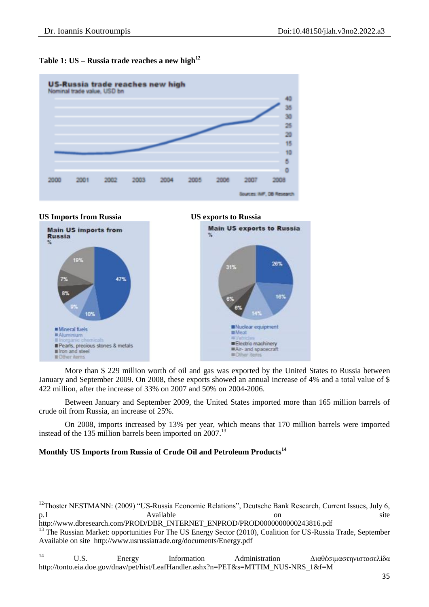





**.** 





More than \$ 229 million worth of oil and gas was exported by the United States to Russia between January and September 2009. On 2008, these exports showed an annual increase of 4% and a total value of \$ 422 million, after the increase of 33% on 2007 and 50% on 2004-2006.

Between January and September 2009, the United States imported more than 165 million barrels of crude oil from Russia, an increase of 25%.

On 2008, imports increased by 13% per year, which means that 170 million barrels were imported instead of the 135 million barrels been imported on  $2007$ <sup>13</sup>

## **Monthly US Imports from Russia of Crude Oil and Petroleum Products<sup>14</sup>**

## <sup>14</sup> U.S. Energy Information Administration Διαθέσιμαστηνιστοσελίδα http://tonto.eia.doe.gov/dnav/pet/hist/LeafHandler.ashx?n=PET&s=MTTIM\_NUS-NRS\_1&f=M

<sup>&</sup>lt;sup>12</sup>Thoster NESTMANN: (2009) "US-Russia Economic Relations", Deutsche Bank Research, Current Issues, July 6, p.1 Available on site

http://www.dbresearch.com/PROD/DBR\_INTERNET\_ENPROD/PROD0000000000243816.pdf

<sup>&</sup>lt;sup>13</sup> The Russian Market: opportunities For The US Energy Sector (2010), Coalition for US-Russia Trade, September Available on site http://www.usrussiatrade.org/documents/Energy.pdf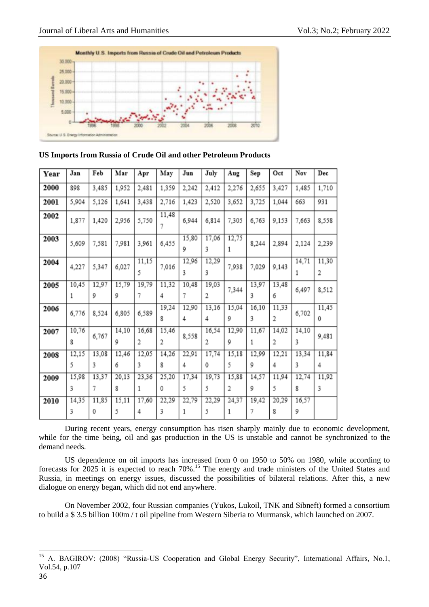

### **US Imports from Russia of Crude Oil and other Petroleum Products**

| Year | Jan   | Feb   | Mar   | Apr        | May        | Jun        | July       | Aug        | Sep        | Oct        | Nov        | Dec        |
|------|-------|-------|-------|------------|------------|------------|------------|------------|------------|------------|------------|------------|
| 2000 | 898   | 3,485 | 1,952 | 2,481      | 1,359      | 2,242      | 2,412      | 2,276      | 2,655      | 3,427      | 1,485      | 1,710      |
| 2001 | 5,904 | 5,126 | 1,641 | 3,438      | 2,716      | 1,423      | 2,520      | 3,652      | 3,725      | 1,044      | 663        | 931        |
| 2002 | 1,877 | 1,420 | 2,956 | 5,750      | 11,48<br>7 | 6,944      | 6,814      | 7,305      | 6,763      | 9,153      | 7,663      | 8,558      |
| 2003 | 5,609 | 7,581 | 7,981 | 3,961      | 6,455      | 15,80<br>9 | 17,06<br>3 | 12,75<br>1 | 8,244      | 2,894      | 2,124      | 2,239      |
| 2004 | 4,227 | 5,347 | 6,027 | 11,15<br>5 | 7,016      | 12,96<br>3 | 12,29<br>3 | 7,938      | 7,029      | 9,143      | 14,71<br>1 | 11,30<br>2 |
| 2005 | 10,45 | 12,97 | 15,79 | 19,79      | 11,32      | 10,48      | 19,03      | 7,344      | 13,97      | 13,48      | 6,497      | 8,512      |
|      | 1     | 9     | 9     | 7          | 4          | 7          | 2          |            | 3          | 6          |            |            |
| 2006 | 6,776 | 8,524 | 6,805 | 6,589      | 19,24<br>8 | 12,90<br>4 | 13,16<br>4 | 15,04<br>9 | 16,10<br>3 | 11,33<br>2 | 6,702      | 11,45<br>0 |
| 2007 | 10,76 | 6,767 | 14,10 | 16,68      | 15,46      | 8,558      | 16,54      | 12,90      | 11,67      | 14,02      | 14,10      | 9,481      |
|      | 8     |       | 9     | 2          | 2          |            | 2          | 9          | 1          | 2          | 3          |            |
| 2008 | 12,15 | 13,08 | 12,46 | 12,05      | 14,26      | 22,91      | 17,74      | 15,18      | 12,99      | 12,21      | 13,34      | 11,84      |
|      | 5     | 3     | 6     | 3          | 8          | 4          | 0          | 5          | 9          | 4          | 3          | 4          |
| 2009 | 15,98 | 13,37 | 20,13 | 23,36      | 25,20      | 17,34      | 19,73      | 15,88      | 14,57      | 11,94      | 12,74      | 11,92      |
|      | 3     | 7     | 8     | 1          | 0          | 5          | 5          | 2          | 9          | 5          | 8          | 3          |
| 2010 | 14,35 | 11,85 | 15,11 | 17,60      | 22,29      | 22,79      | 22,29      | 24,37      | 19,42      | 20,29      | 16,57      |            |
|      | 3     | 0     | 5     | 4          | 3          | 1          | 5          | 1          | 7          | 8          | 9          |            |

During recent years, energy consumption has risen sharply mainly due to economic development, while for the time being, oil and gas production in the US is unstable and cannot be synchronized to the demand needs.

US dependence on oil imports has increased from 0 on 1950 to 50% on 1980, while according to forecasts for 2025 it is expected to reach 70%.<sup>15</sup> The energy and trade ministers of the United States and Russia, in meetings on energy issues, discussed the possibilities of bilateral relations. After this, a new dialogue on energy began, which did not end anywhere.

On November 2002, four Russian companies (Yukos, Lukoil, TNK and Sibneft) formed a consortium to build a \$ 3.5 billion 100m / t oil pipeline from Western Siberia to Murmansk, which launched on 2007.

1

<sup>&</sup>lt;sup>15</sup> A. BAGIROV: (2008) "Russia-US Cooperation and Global Energy Security", International Affairs, No.1, Vol.54, p.107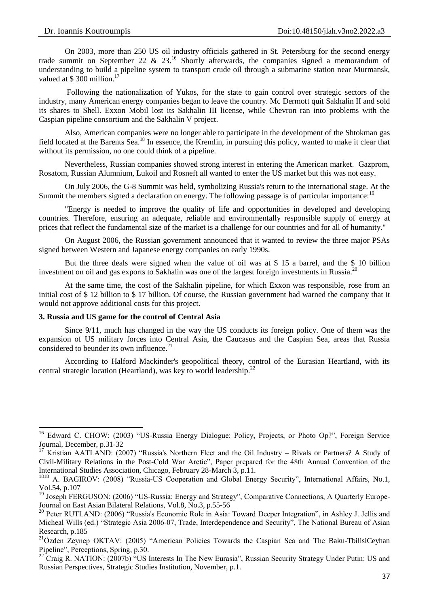On 2003, more than 250 US oil industry officials gathered in St. Petersburg for the second energy trade summit on September 22 & 23.<sup>16</sup> Shortly afterwards, the companies signed a memorandum of understanding to build a pipeline system to transport crude oil through a submarine station near Murmansk, valued at \$ 300 million.<sup>17</sup>

Following the nationalization of Yukos, for the state to gain control over strategic sectors of the industry, many American energy companies began to leave the country. Mc Dermott quit Sakhalin II and sold its shares to Shell. Exxon Mobil lost its Sakhalin III license, while Chevron ran into problems with the Caspian pipeline consortium and the Sakhalin V project.

Also, American companies were no longer able to participate in the development of the Shtokman gas field located at the Barents Sea.<sup>18</sup> In essence, the Kremlin, in pursuing this policy, wanted to make it clear that without its permission, no one could think of a pipeline.

Nevertheless, Russian companies showed strong interest in entering the American market. Gazprom, Rosatom, Russian Alumnium, Lukoil and Rosneft all wanted to enter the US market but this was not easy.

On July 2006, the G-8 Summit was held, symbolizing Russia's return to the international stage. At the Summit the members signed a declaration on energy. The following passage is of particular importance:<sup>19</sup>

"Energy is needed to improve the quality of life and opportunities in developed and developing countries. Therefore, ensuring an adequate, reliable and environmentally responsible supply of energy at prices that reflect the fundamental size of the market is a challenge for our countries and for all of humanity."

On August 2006, the Russian government announced that it wanted to review the three major PSAs signed between Western and Japanese energy companies on early 1990s.

But the three deals were signed when the value of oil was at \$ 15 a barrel, and the \$ 10 billion investment on oil and gas exports to Sakhalin was one of the largest foreign investments in Russia.<sup>20</sup>

At the same time, the cost of the Sakhalin pipeline, for which Exxon was responsible, rose from an initial cost of \$ 12 billion to \$ 17 billion. Of course, the Russian government had warned the company that it would not approve additional costs for this project.

### **3. Russia and US game for the control of Central Asia**

1

Since 9/11, much has changed in the way the US conducts its foreign policy. One of them was the expansion of US military forces into Central Asia, the Caucasus and the Caspian Sea, areas that Russia considered to be under its own influence.<sup>21</sup>

According to Halford Mackinder's geopolitical theory, control of the Eurasian Heartland, with its central strategic location (Heartland), was key to world leadership.<sup>22</sup>

<sup>&</sup>lt;sup>16</sup> Edward C. CHOW: (2003) "US-Russia Energy Dialogue: Policy, Projects, or Photo Op?", Foreign Service Journal, December, p.31-32

<sup>&</sup>lt;sup>17</sup> Kristian AATLAND: (2007) "Russia's Northern Fleet and the Oil Industry – Rivals or Partners? A Study of Civil-Military Relations in the Post-Cold War Arctic", Paper prepared for the 48th Annual Convention of the International Studies Association, Chicago, February 28-March 3, p.11.

<sup>&</sup>lt;sup>1818</sup> A. BAGIROV: (2008) "Russia-US Cooperation and Global Energy Security", International Affairs, No.1, Vol.54, p.107

<sup>&</sup>lt;sup>19</sup> Joseph FERGUSON: (2006) "US-Russia: Energy and Strategy", Comparative Connections, A Quarterly Europe-Journal on East Asian Bilateral Relations, Vol.8, No.3, p.55-56

<sup>&</sup>lt;sup>20</sup> Peter RUTLAND: (2006) "Russia's Economic Role in Asia: Toward Deeper Integration", in Ashley J. Jellis and Micheal Wills (ed.) "Strategic Asia 2006-07, Trade, Interdependence and Security", The National Bureau of Asian Research, p.185

<sup>&</sup>lt;sup>21</sup>Özden Zeynep OKTAV: (2005) "American Policies Towards the Caspian Sea and The Baku-TbilisiCeyhan Pipeline", Perceptions, Spring, p.30.

<sup>&</sup>lt;sup>22</sup> Craig R. NATION: (2007b) "US Interests In The New Eurasia", Russian Security Strategy Under Putin: US and Russian Perspectives, Strategic Studies Institution, November, p.1.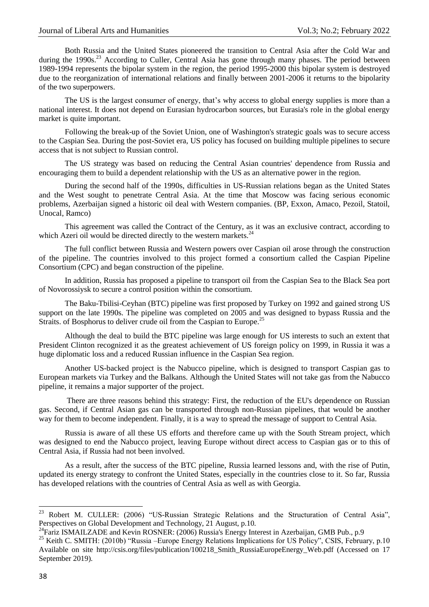Both Russia and the United States pioneered the transition to Central Asia after the Cold War and during the 1990s.<sup>23</sup> According to Culler, Central Asia has gone through many phases. The period between 1989-1994 represents the bipolar system in the region, the period 1995-2000 this bipolar system is destroyed due to the reorganization of international relations and finally between 2001-2006 it returns to the bipolarity of the two superpowers.

The US is the largest consumer of energy, that's why access to global energy supplies is more than a national interest. It does not depend on Eurasian hydrocarbon sources, but Eurasia's role in the global energy market is quite important.

Following the break-up of the Soviet Union, one of Washington's strategic goals was to secure access to the Caspian Sea. During the post-Soviet era, US policy has focused on building multiple pipelines to secure access that is not subject to Russian control.

The US strategy was based on reducing the Central Asian countries' dependence from Russia and encouraging them to build a dependent relationship with the US as an alternative power in the region.

During the second half of the 1990s, difficulties in US-Russian relations began as the United States and the West sought to penetrate Central Asia. At the time that Moscow was facing serious economic problems, Azerbaijan signed a historic oil deal with Western companies. (BP, Exxon, Amaco, Pezoil, Statoil, Unocal, Ramco)

This agreement was called the Contract of the Century, as it was an exclusive contract, according to which Azeri oil would be directed directly to the western markets.<sup>24</sup>

The full conflict between Russia and Western powers over Caspian oil arose through the construction of the pipeline. The countries involved to this project formed a consortium called the Caspian Pipeline Consortium (CPC) and began construction of the pipeline.

In addition, Russia has proposed a pipeline to transport oil from the Caspian Sea to the Black Sea port of Novorossiysk to secure a control position within the consortium.

The Baku-Tbilisi-Ceyhan (BTC) pipeline was first proposed by Turkey on 1992 and gained strong US support on the late 1990s. The pipeline was completed on 2005 and was designed to bypass Russia and the Straits. of Bosphorus to deliver crude oil from the Caspian to Europe.<sup>25</sup>

Although the deal to build the BTC pipeline was large enough for US interests to such an extent that President Clinton recognized it as the greatest achievement of US foreign policy on 1999, in Russia it was a huge diplomatic loss and a reduced Russian influence in the Caspian Sea region.

Another US-backed project is the Nabucco pipeline, which is designed to transport Caspian gas to European markets via Turkey and the Balkans. Although the United States will not take gas from the Nabucco pipeline, it remains a major supporter of the project.

There are three reasons behind this strategy: First, the reduction of the EU's dependence on Russian gas. Second, if Central Asian gas can be transported through non-Russian pipelines, that would be another way for them to become independent. Finally, it is a way to spread the message of support to Central Asia.

Russia is aware of all these US efforts and therefore came up with the South Stream project, which was designed to end the Nabucco project, leaving Europe without direct access to Caspian gas or to this of Central Asia, if Russia had not been involved.

As a result, after the success of the BTC pipeline, Russia learned lessons and, with the rise of Putin, updated its energy strategy to confront the United States, especially in the countries close to it. So far, Russia has developed relations with the countries of Central Asia as well as with Georgia.

1

<sup>&</sup>lt;sup>23</sup> Robert M. CULLER: (2006) "US-Russian Strategic Relations and the Structuration of Central Asia", Perspectives on Global Development and Technology, 21 August, p.10.

<sup>&</sup>lt;sup>24</sup>Fariz ISMAILZADE and Kevin ROSNER: (2006) Russia's Energy Interest in Azerbaijan, GMB Pub., p.9

<sup>&</sup>lt;sup>25</sup> Keith C. SMITH: (2010b) "Russia –Europe Energy Relations Implications for US Policy", CSIS, February, p.10 Available on site http://csis.org/files/publication/100218\_Smith\_RussiaEuropeEnergy\_Web.pdf (Accessed on 17 September 2019).